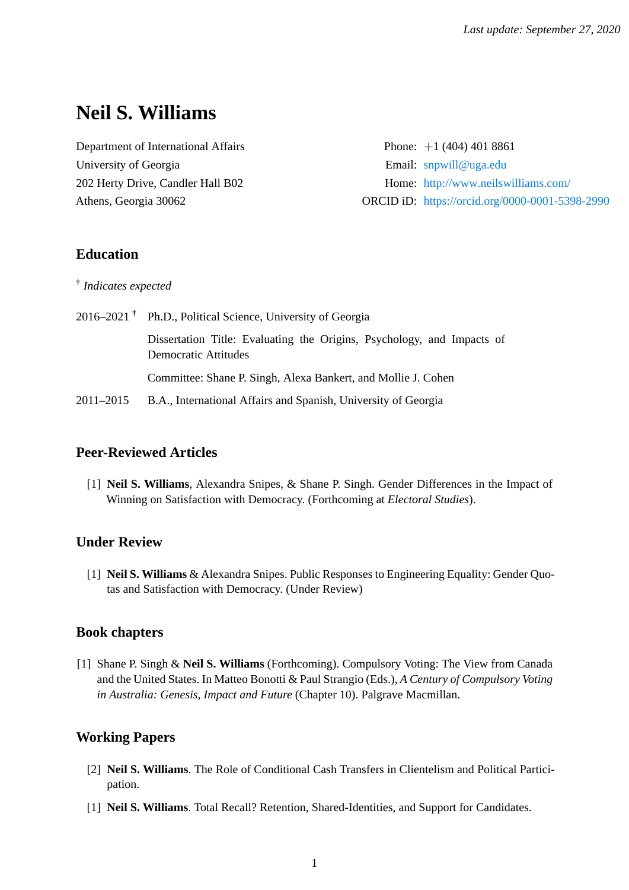# **Neil S. Williams**

Department of International Affairs Phone: +1 (404) 401 8861 University of Georgia **Email:** <snpwill@uga.edu>

202 Herty Drive, Candler Hall B02 Home: <http://www.neilswilliams.com/> Athens, Georgia 30062 ORCID iD: <https://orcid.org/0000-0001-5398-2990>

# **Education**

**†** *Indicates expected*

2016–2021 **†** Ph.D., Political Science, University of Georgia Dissertation Title: Evaluating the Origins, Psychology, and Impacts of Democratic Attitudes Committee: Shane P. Singh, Alexa Bankert, and Mollie J. Cohen 2011–2015 B.A., International Affairs and Spanish, University of Georgia

# **Peer-Reviewed Articles**

[1] **Neil S. Williams**, Alexandra Snipes, & Shane P. Singh. Gender Differences in the Impact of Winning on Satisfaction with Democracy. (Forthcoming at *Electoral Studies*).

# **Under Review**

[1] **Neil S. Williams** & Alexandra Snipes. Public Responses to Engineering Equality: Gender Quotas and Satisfaction with Democracy. (Under Review)

# **Book chapters**

[1] Shane P. Singh & **Neil S. Williams** (Forthcoming). Compulsory Voting: The View from Canada and the United States. In Matteo Bonotti & Paul Strangio (Eds.), *A Century of Compulsory Voting in Australia: Genesis, Impact and Future* (Chapter 10). Palgrave Macmillan.

# **Working Papers**

- [2] **Neil S. Williams**. The Role of Conditional Cash Transfers in Clientelism and Political Participation.
- [1] **Neil S. Williams**. Total Recall? Retention, Shared-Identities, and Support for Candidates.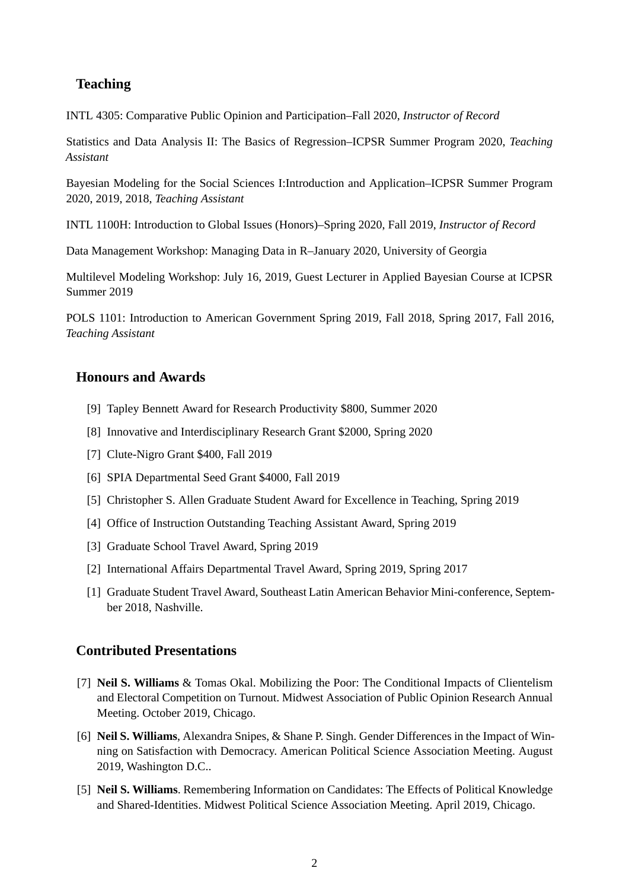# **Teaching**

INTL 4305: Comparative Public Opinion and Participation–Fall 2020, *Instructor of Record*

Statistics and Data Analysis II: The Basics of Regression–ICPSR Summer Program 2020, *Teaching Assistant*

Bayesian Modeling for the Social Sciences I:Introduction and Application–ICPSR Summer Program 2020, 2019, 2018, *Teaching Assistant*

INTL 1100H: Introduction to Global Issues (Honors)–Spring 2020, Fall 2019, *Instructor of Record*

Data Management Workshop: Managing Data in R–January 2020, University of Georgia

Multilevel Modeling Workshop: July 16, 2019, Guest Lecturer in Applied Bayesian Course at ICPSR Summer 2019

POLS 1101: Introduction to American Government Spring 2019, Fall 2018, Spring 2017, Fall 2016, *Teaching Assistant*

# **Honours and Awards**

- [9] Tapley Bennett Award for Research Productivity \$800, Summer 2020
- [8] Innovative and Interdisciplinary Research Grant \$2000, Spring 2020
- [7] Clute-Nigro Grant \$400, Fall 2019
- [6] SPIA Departmental Seed Grant \$4000, Fall 2019
- [5] Christopher S. Allen Graduate Student Award for Excellence in Teaching, Spring 2019
- [4] Office of Instruction Outstanding Teaching Assistant Award, Spring 2019
- [3] Graduate School Travel Award, Spring 2019
- [2] International Affairs Departmental Travel Award, Spring 2019, Spring 2017
- [1] Graduate Student Travel Award, Southeast Latin American Behavior Mini-conference, September 2018, Nashville.

# **Contributed Presentations**

- [7] **Neil S. Williams** & Tomas Okal. Mobilizing the Poor: The Conditional Impacts of Clientelism and Electoral Competition on Turnout. Midwest Association of Public Opinion Research Annual Meeting. October 2019, Chicago.
- [6] **Neil S. Williams**, Alexandra Snipes, & Shane P. Singh. Gender Differences in the Impact of Winning on Satisfaction with Democracy. American Political Science Association Meeting. August 2019, Washington D.C..
- [5] **Neil S. Williams**. Remembering Information on Candidates: The Effects of Political Knowledge and Shared-Identities. Midwest Political Science Association Meeting. April 2019, Chicago.